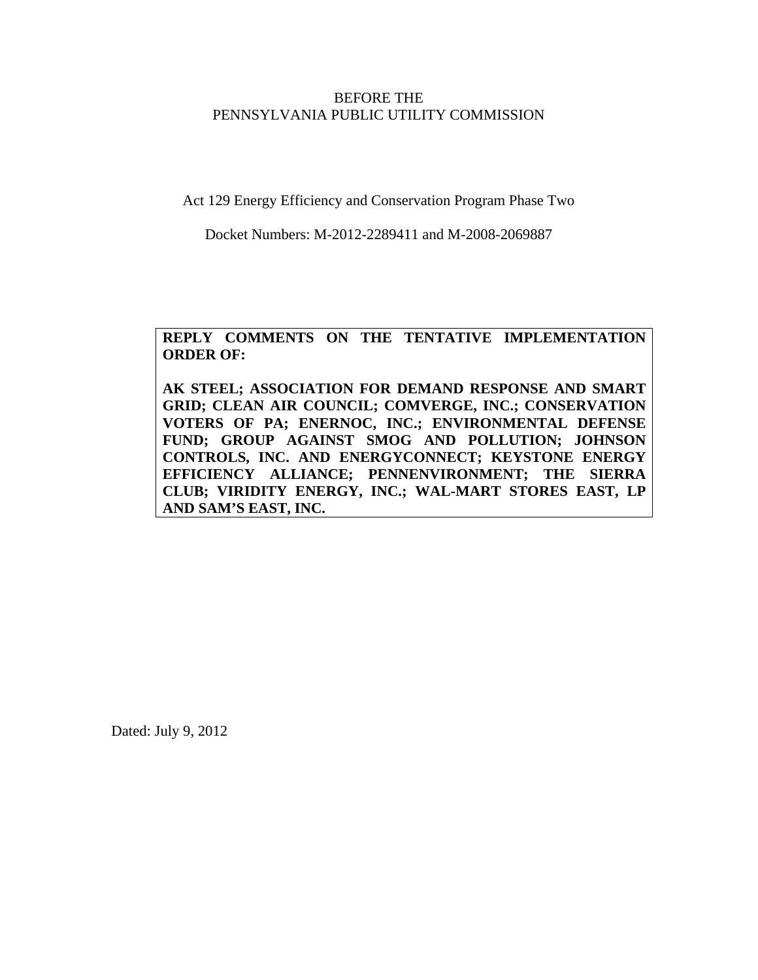# BEFORE THE PENNSYLVANIA PUBLIC UTILITY COMMISSION

Act 129 Energy Efficiency and Conservation Program Phase Two

Docket Numbers: M-2012-2289411 and M-2008-2069887

# **REPLY COMMENTS ON THE TENTATIVE IMPLEMENTATION ORDER OF:**

**AK STEEL; ASSOCIATION FOR DEMAND RESPONSE AND SMART GRID; CLEAN AIR COUNCIL; COMVERGE, INC.; CONSERVATION VOTERS OF PA; ENERNOC, INC.; ENVIRONMENTAL DEFENSE FUND; GROUP AGAINST SMOG AND POLLUTION; JOHNSON CONTROLS, INC. AND ENERGYCONNECT; KEYSTONE ENERGY EFFICIENCY ALLIANCE; PENNENVIRONMENT; THE SIERRA CLUB; VIRIDITY ENERGY, INC.; WAL-MART STORES EAST, LP AND SAM'S EAST, INC.** 

Dated: July 9, 2012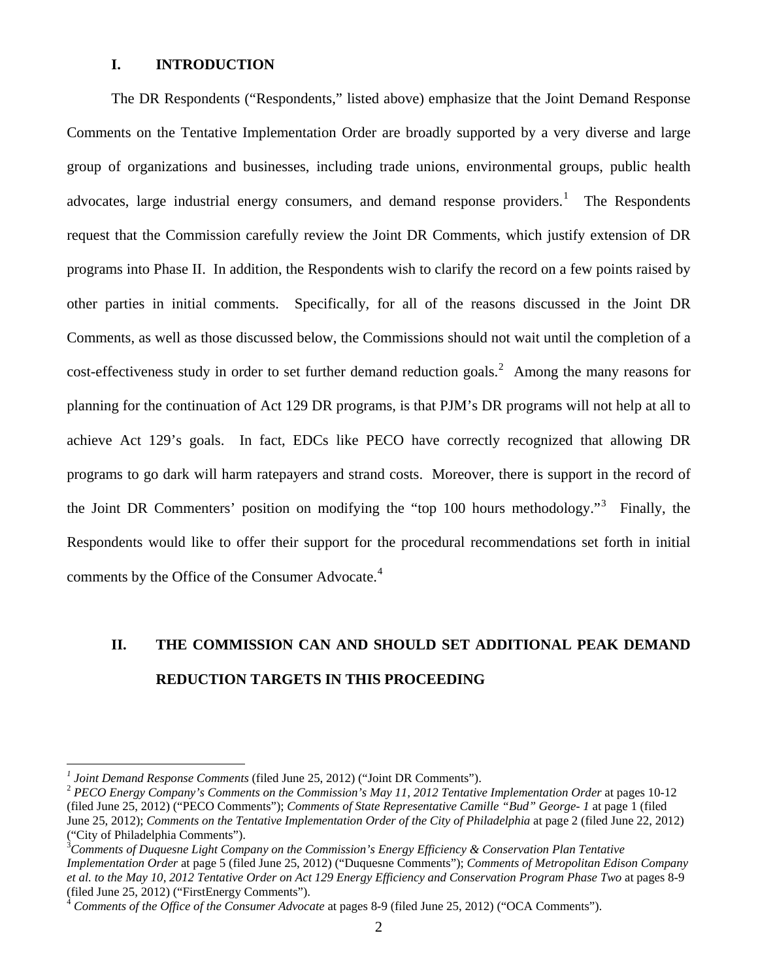# **I. INTRODUCTION**

The DR Respondents ("Respondents," listed above) emphasize that the Joint Demand Response Comments on the Tentative Implementation Order are broadly supported by a very diverse and large group of organizations and businesses, including trade unions, environmental groups, public health advocates, large industrial energy consumers, and demand response providers.<sup>[1](#page-1-0)</sup> The Respondents request that the Commission carefully review the Joint DR Comments, which justify extension of DR programs into Phase II. In addition, the Respondents wish to clarify the record on a few points raised by other parties in initial comments. Specifically, for all of the reasons discussed in the Joint DR Comments, as well as those discussed below, the Commissions should not wait until the completion of a  $cost$ -effectiveness study in order to set further demand reduction goals.<sup>[2](#page-1-1)</sup> Among the many reasons for planning for the continuation of Act 129 DR programs, is that PJM's DR programs will not help at all to achieve Act 129's goals. In fact, EDCs like PECO have correctly recognized that allowing DR programs to go dark will harm ratepayers and strand costs. Moreover, there is support in the record of the Joint DR Commenters' position on modifying the "top 100 hours methodology."<sup>[3](#page-1-2)</sup> Finally, the Respondents would like to offer their support for the procedural recommendations set forth in initial comments by the Office of the Consumer Advocate.<sup>[4](#page-1-3)</sup>

# **II. THE COMMISSION CAN AND SHOULD SET ADDITIONAL PEAK DEMAND REDUCTION TARGETS IN THIS PROCEEDING**

 $\overline{a}$ 

<span id="page-1-0"></span><sup>&</sup>lt;sup>1</sup> Joint Demand Response Comments (filed June 25, 2012) ("Joint DR Comments").

<span id="page-1-1"></span><sup>&</sup>lt;sup>2</sup> PECO Energy Company's Comments on the Commission's May 11, 2012 Tentative Implementation Order at pages 10-12 (filed June 25, 2012) ("PECO Comments"); *Comments of State Representative Camille "Bud" George- 1* at page 1 (filed June 25, 2012); *Comments on the Tentative Implementation Order of the City of Philadelphia* at page 2 (filed June 22, 2012) ("City of Philadelphia Comments").

<span id="page-1-2"></span><sup>3</sup> *Comments of Duquesne Light Company on the Commission's Energy Efficiency & Conservation Plan Tentative Implementation Order* at page 5 (filed June 25, 2012) ("Duquesne Comments"); *Comments of Metropolitan Edison Company et al. to the May 10, 2012 Tentative Order on Act 129 Energy Efficiency and Conservation Program Phase Two* at pages 8-9 (filed June 25, 2012) ("FirstEnergy Comments").

<span id="page-1-3"></span><sup>4</sup> *Comments of the Office of the Consumer Advocate* at pages 8-9 (filed June 25, 2012) ("OCA Comments").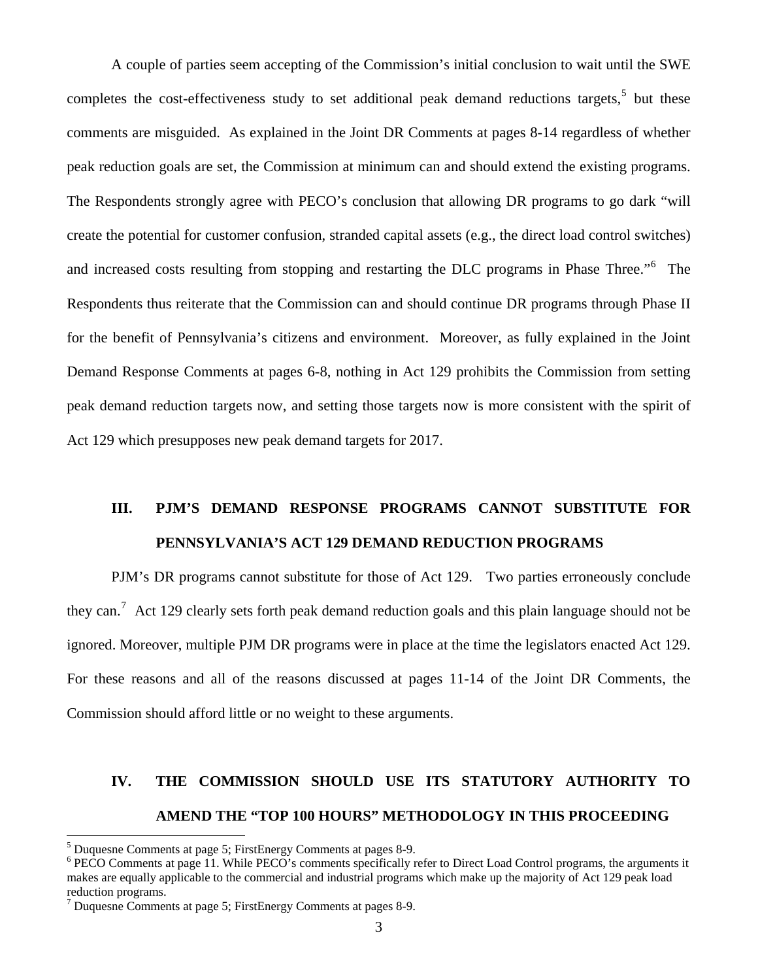A couple of parties seem accepting of the Commission's initial conclusion to wait until the SWE completes the cost-effectiveness study to set additional peak demand reductions targets, $5$  but these comments are misguided. As explained in the Joint DR Comments at pages 8-14 regardless of whether peak reduction goals are set, the Commission at minimum can and should extend the existing programs. The Respondents strongly agree with PECO's conclusion that allowing DR programs to go dark "will create the potential for customer confusion, stranded capital assets (e.g., the direct load control switches) and increased costs resulting from stopping and restarting the DLC programs in Phase Three."<sup>[6](#page-2-1)</sup> The Respondents thus reiterate that the Commission can and should continue DR programs through Phase II for the benefit of Pennsylvania's citizens and environment. Moreover, as fully explained in the Joint Demand Response Comments at pages 6-8, nothing in Act 129 prohibits the Commission from setting peak demand reduction targets now, and setting those targets now is more consistent with the spirit of Act 129 which presupposes new peak demand targets for 2017.

# **III. PJM'S DEMAND RESPONSE PROGRAMS CANNOT SUBSTITUTE FOR PENNSYLVANIA'S ACT 129 DEMAND REDUCTION PROGRAMS**

PJM's DR programs cannot substitute for those of Act 129. Two parties erroneously conclude they can.<sup>[7](#page-2-2)</sup> Act 129 clearly sets forth peak demand reduction goals and this plain language should not be ignored. Moreover, multiple PJM DR programs were in place at the time the legislators enacted Act 129. For these reasons and all of the reasons discussed at pages 11-14 of the Joint DR Comments, the Commission should afford little or no weight to these arguments.

# **IV. THE COMMISSION SHOULD USE ITS STATUTORY AUTHORITY TO AMEND THE "TOP 100 HOURS" METHODOLOGY IN THIS PROCEEDING**

 $\overline{a}$ 

<span id="page-2-0"></span><sup>&</sup>lt;sup>5</sup> Duquesne Comments at page 5; FirstEnergy Comments at pages 8-9.<br><sup>6</sup> PECO Comments at page 11 While PECO's comments specifically re

<span id="page-2-1"></span><sup>&</sup>lt;sup>6</sup> PECO Comments at page 11. While PECO's comments specifically refer to Direct Load Control programs, the arguments it makes are equally applicable to the commercial and industrial programs which make up the majority of Act 129 peak load reduction programs.

<span id="page-2-2"></span><sup>7</sup> Duquesne Comments at page 5; FirstEnergy Comments at pages 8-9.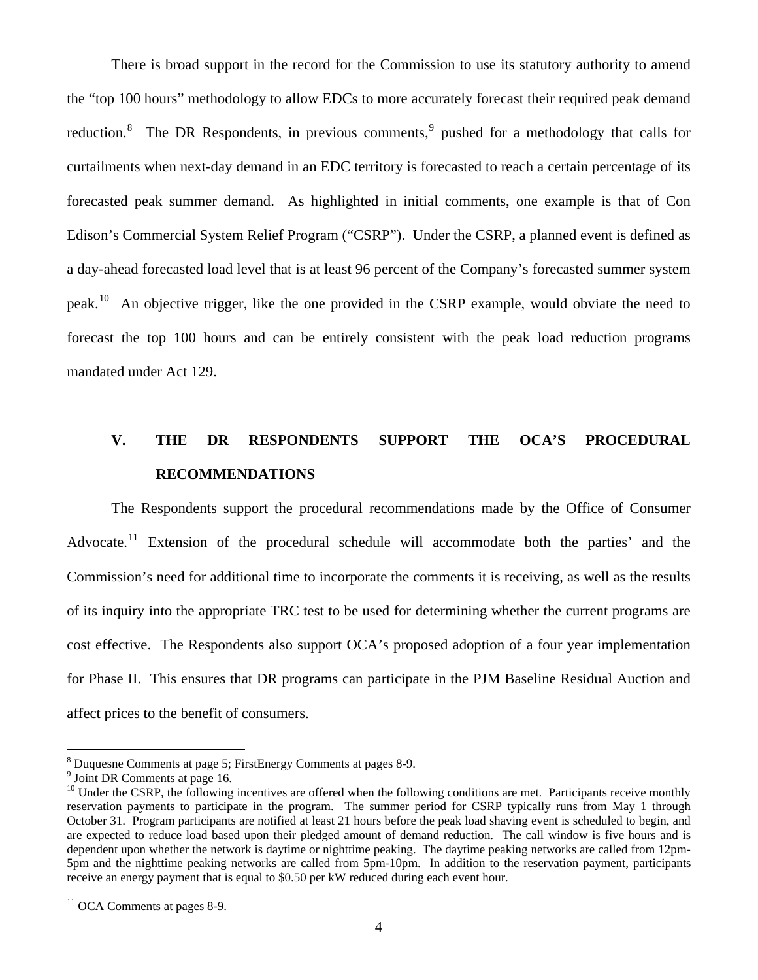There is broad support in the record for the Commission to use its statutory authority to amend the "top 100 hours" methodology to allow EDCs to more accurately forecast their required peak demand reduction.<sup>[8](#page-3-0)</sup> The DR Respondents, in previous comments,<sup>[9](#page-3-1)</sup> pushed for a methodology that calls for curtailments when next-day demand in an EDC territory is forecasted to reach a certain percentage of its forecasted peak summer demand. As highlighted in initial comments, one example is that of Con Edison's Commercial System Relief Program ("CSRP"). Under the CSRP, a planned event is defined as a day-ahead forecasted load level that is at least 96 percent of the Company's forecasted summer system peak.[10](#page-3-2) An objective trigger, like the one provided in the CSRP example, would obviate the need to forecast the top 100 hours and can be entirely consistent with the peak load reduction programs mandated under Act 129.

# **V. THE DR RESPONDENTS SUPPORT THE OCA'S PROCEDURAL RECOMMENDATIONS**

The Respondents support the procedural recommendations made by the Office of Consumer Advocate.<sup>[11](#page-3-3)</sup> Extension of the procedural schedule will accommodate both the parties' and the Commission's need for additional time to incorporate the comments it is receiving, as well as the results of its inquiry into the appropriate TRC test to be used for determining whether the current programs are cost effective. The Respondents also support OCA's proposed adoption of a four year implementation for Phase II. This ensures that DR programs can participate in the PJM Baseline Residual Auction and affect prices to the benefit of consumers.

1

<sup>&</sup>lt;sup>8</sup> Duquesne Comments at page 5; FirstEnergy Comments at pages 8-9.<br><sup>9</sup> Joint DB Comments at page 16

<span id="page-3-1"></span><span id="page-3-0"></span> $9$  Joint DR Comments at page 16.

<span id="page-3-2"></span><sup>&</sup>lt;sup>10</sup> Under the CSRP, the following incentives are offered when the following conditions are met. Participants receive monthly reservation payments to participate in the program. The summer period for CSRP typically runs from May 1 through October 31. Program participants are notified at least 21 hours before the peak load shaving event is scheduled to begin, and are expected to reduce load based upon their pledged amount of demand reduction. The call window is five hours and is dependent upon whether the network is daytime or nighttime peaking. The daytime peaking networks are called from 12pm-5pm and the nighttime peaking networks are called from 5pm-10pm. In addition to the reservation payment, participants receive an energy payment that is equal to \$0.50 per kW reduced during each event hour.

<span id="page-3-3"></span> $11$  OCA Comments at pages 8-9.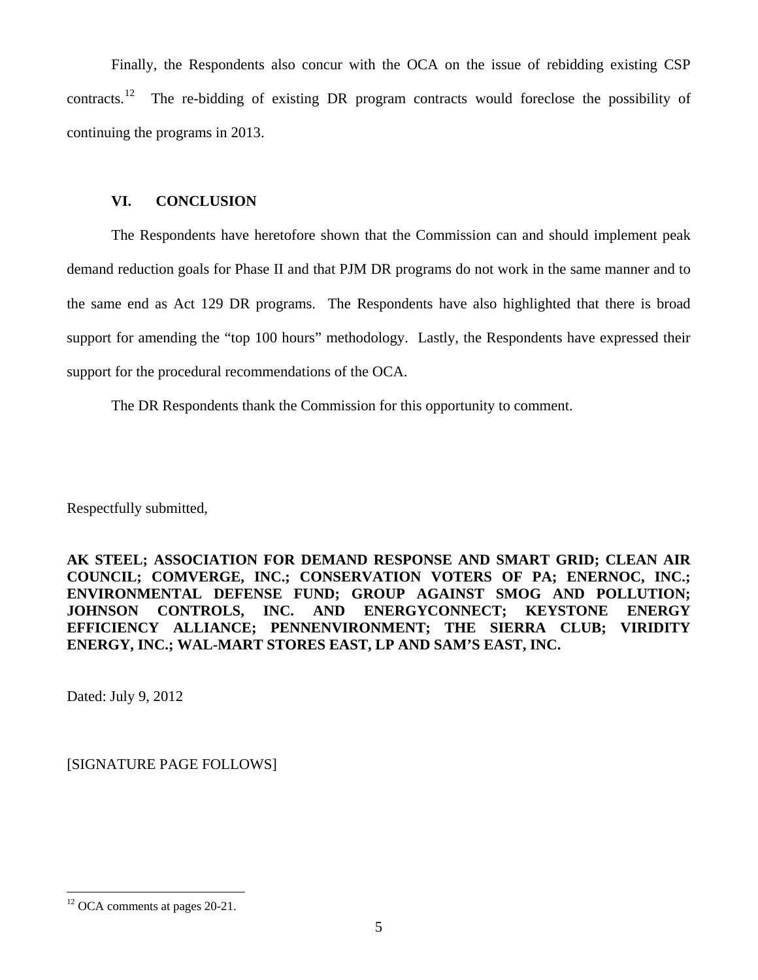Finally, the Respondents also concur with the OCA on the issue of rebidding existing CSP contracts.<sup>[12](#page-4-0)</sup> The re-bidding of existing DR program contracts would foreclose the possibility of continuing the programs in 2013.

# **VI. CONCLUSION**

The Respondents have heretofore shown that the Commission can and should implement peak demand reduction goals for Phase II and that PJM DR programs do not work in the same manner and to the same end as Act 129 DR programs. The Respondents have also highlighted that there is broad support for amending the "top 100 hours" methodology. Lastly, the Respondents have expressed their support for the procedural recommendations of the OCA.

The DR Respondents thank the Commission for this opportunity to comment.

Respectfully submitted,

**AK STEEL; ASSOCIATION FOR DEMAND RESPONSE AND SMART GRID; CLEAN AIR COUNCIL; COMVERGE, INC.; CONSERVATION VOTERS OF PA; ENERNOC, INC.; ENVIRONMENTAL DEFENSE FUND; GROUP AGAINST SMOG AND POLLUTION; JOHNSON CONTROLS, INC. AND ENERGYCONNECT; KEYSTONE ENERGY EFFICIENCY ALLIANCE; PENNENVIRONMENT; THE SIERRA CLUB; VIRIDITY ENERGY, INC.; WAL-MART STORES EAST, LP AND SAM'S EAST, INC.** 

Dated: July 9, 2012

[SIGNATURE PAGE FOLLOWS]

 $\overline{a}$ 

<span id="page-4-0"></span><sup>&</sup>lt;sup>12</sup> OCA comments at pages 20-21.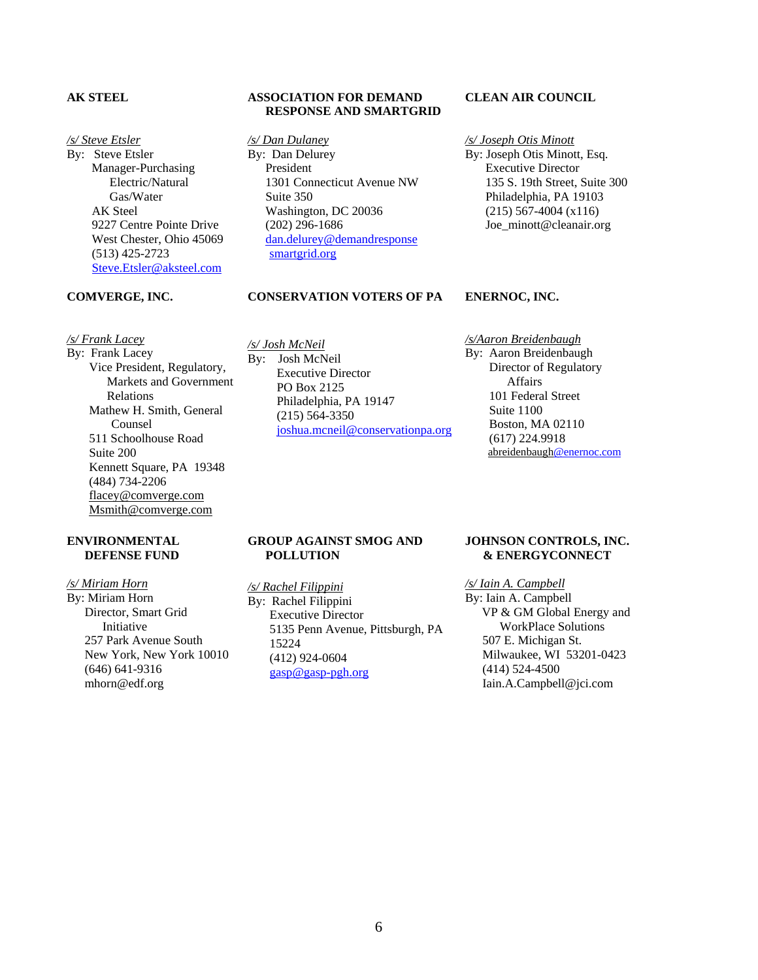## **AK STEEL**

#### */s/ Steve Etsler*

By: Steve Etsler Manager-Purchasing Electric/Natural Gas/Water AK Steel 9227 Centre Pointe Drive West Chester, Ohio 45069 (513) 425-2723 [Steve.Etsler@aksteel.com](mailto:Steve.Etsler@aksteel.com) 

> Vice President, Regulatory, Markets and Government

Mathew H. Smith, General

Kennett Square, PA 19348

## **ASSOCIATION FOR DEMAND RESPONSE AND SMARTGRID**

*/s/ Dan Dulaney* By: Dan Delurey President 1301 Connecticut Avenue NW Suite 350 Washington, DC 20036 (202) 296-1686 [dan.delurey@demandresponse](mailto:dan.delurey@demandresponse) smartgrid.org

**CONSERVATION VOTERS OF PA**

## **CLEAN AIR COUNCIL**

## */s/ Joseph Otis Minott*

**ENERNOC, INC.** 

By: Joseph Otis Minott, Esq. Executive Director 135 S. 19th Street, Suite 300 Philadelphia, PA 19103 (215) 567-4004 (x116) Joe\_minott@cleanair.org

#### **COMVERGE, INC.**

Relations

Counsel 511 Schoolhouse Road

(484) 734-2206 [flacey@comverge.com](mailto:flacey@comverge.com) Msmith@comverge.com

Suite 200

*/s/ Frank Lacey* By: Frank Lacey

# */s/ Josh McNeil* By: Josh McNeil Executive Director

PO Box 2125 Philadelphia, PA 19147 (215) 564-3350 [joshua.mcneil@conservationpa.org](mailto:joshua.mcneil@conservationpa.org) */s/Aaron Breidenbaugh* By: Aaron Breidenbaugh Director of Regulatory Affairs 101 Federal Street Suite 1100 Boston, MA 02110 (617) 224.9918 abreidenbaug[h@enernoc.com](mailto:abreidenbaugh@enernoc.com)

#### **ENVIRONMENTAL DEFENSE FUND**

*/s/ Miriam Horn* By: Miriam Horn Director, Smart Grid Initiative 257 Park Avenue South New York, New York 10010 (646) 641-9316 mhorn@edf.org

#### **GROUP AGAINST SMOG AND POLLUTION**

*/s/ Rachel Filippini* By: Rachel Filippini Executive Director 5135 Penn Avenue, Pittsburgh, PA 15224 (412) 924-0604 [gasp@gasp-pgh.org](mailto:gasp@gasp-pgh.org)

#### **JOHNSON CONTROLS, INC. & ENERGYCONNECT**

*/s/ Iain A. Campbell*

By: Iain A. Campbell<br>VP & GM Global Energy and WorkPlace Solutions 507 E. Michigan St. Milwaukee, WI 53201-0423 (414) 524-4500 Iain.A.Campbell@jci.com